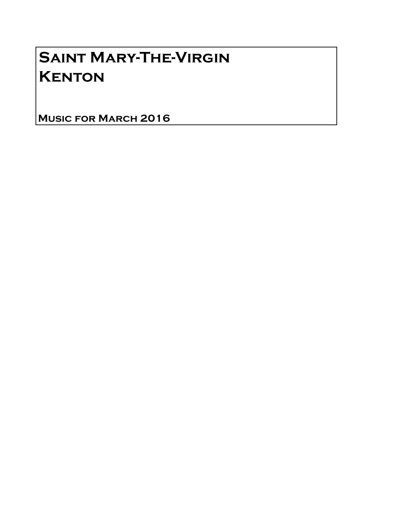# Saint Mary-The-Virgin **KENTON**

Music for March 2016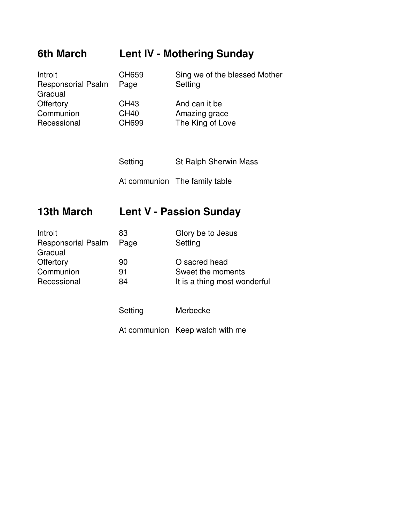### **6th March Lent IV - Mothering Sunday**

| <b>CH659</b> | Sing we of the blessed Mother |
|--------------|-------------------------------|
| Page         | Setting                       |
|              |                               |
| CH43         | And can it be                 |
| <b>CH40</b>  | Amazing grace                 |
| CH699        | The King of Love              |
|              |                               |

Setting St Ralph Sherwin Mass At communion The family table

## **13th March Lent V - Passion Sunday**

| Introit                   | 83   | Glory be to Jesus            |
|---------------------------|------|------------------------------|
| <b>Responsorial Psalm</b> | Page | Setting                      |
| Gradual                   |      |                              |
| Offertory                 | 90   | O sacred head                |
| Communion                 | 91   | Sweet the moments            |
| Recessional               | 84   | It is a thing most wonderful |
|                           |      |                              |

Setting Merbecke

At communion Keep watch with me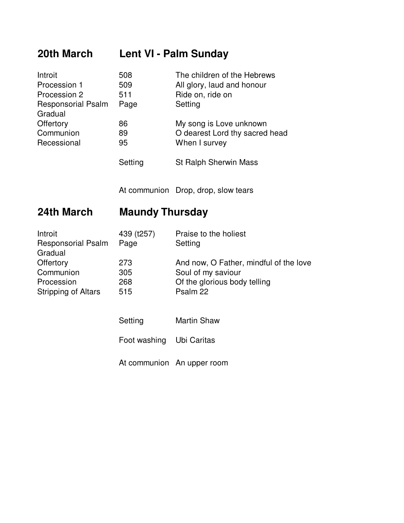### **20th March Lent VI - Palm Sunday**

| Introit                   | 508     | The children of the Hebrews    |
|---------------------------|---------|--------------------------------|
| Procession 1              | 509     | All glory, laud and honour     |
| Procession 2              | 511     | Ride on, ride on               |
| <b>Responsorial Psalm</b> | Page    | Setting                        |
| Gradual                   |         |                                |
| Offertory                 | 86      | My song is Love unknown        |
| Communion                 | 89      | O dearest Lord thy sacred head |
| Recessional               | 95      | When I survey                  |
|                           | Setting | <b>St Ralph Sherwin Mass</b>   |

At communion Drop, drop, slow tears

### **24th March Maundy Thursday**

| Introit                   | 439 (t257) | Praise to the holiest                  |
|---------------------------|------------|----------------------------------------|
| <b>Responsorial Psalm</b> | Page       | Setting                                |
| Gradual                   |            |                                        |
| Offertory                 | 273        | And now, O Father, mindful of the love |
| Communion                 | 305        | Soul of my saviour                     |
| Procession                | 268        | Of the glorious body telling           |
| Stripping of Altars       | 515        | Psalm 22                               |

| Setting | <b>Martin Shaw</b> |
|---------|--------------------|
|---------|--------------------|

Foot washing Ubi Caritas

At communion An upper room